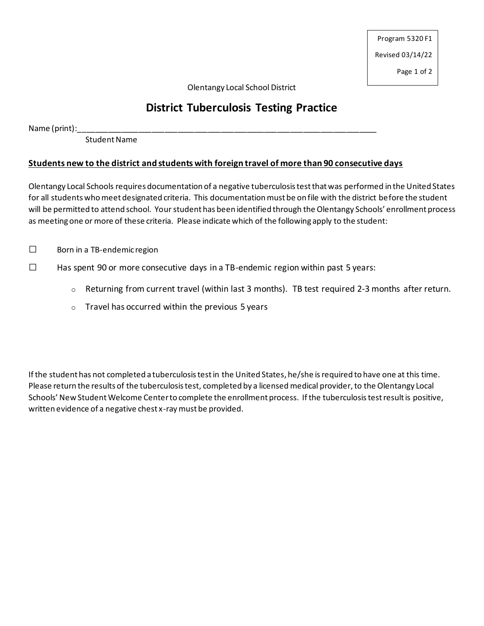Program 5320 F1 Revised 03/14/22

Page 1 of 2

Olentangy Local School District

# **District Tuberculosis Testing Practice**

 $Name (print):$ 

Student Name

#### **Students new to the district and students with foreign travel of more than 90 consecutive days**

Olentangy Local Schools requires documentation of a negative tuberculosis test that was performed in the United States for all studentswhomeet designated criteria. This documentation must be on file with the district before the student will be permitted to attend school. Your student has been identified through the Olentangy Schools' enrollment process as meeting one or more of these criteria. Please indicate which of the following apply to the student:

□ Born in a TB-endemic region

- $\square$  Has spent 90 or more consecutive days in a TB-endemic region within past 5 years:
	- o Returning from current travel (within last 3 months). TB test required 2-3 months after return.
	- $\circ$  Travel has occurred within the previous 5 years

If the student has not completed a tuberculosis test in the United States, he/she is required to have one at this time. Please return the results of the tuberculosis test, completed by a licensed medical provider, to the Olentangy Local Schools' New Student Welcome Center to complete the enrollment process. If the tuberculosistest result is positive, written evidence of a negative chest x-ray must be provided.